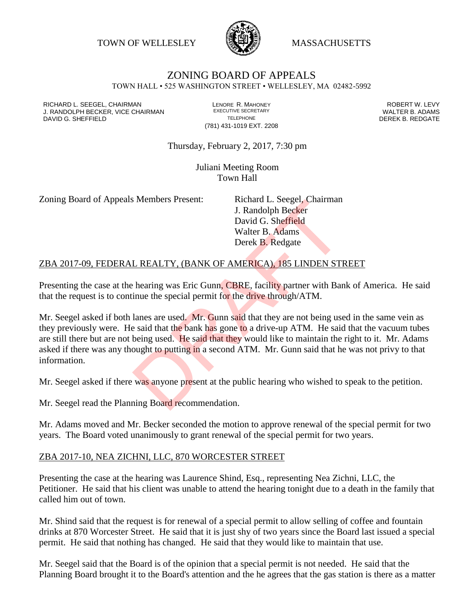TOWN OF WELLESLEY **WASSACHUSETTS** 



#### ZONING BOARD OF APPEALS TOWN HALL • 525 WASHINGTON STREET • WELLESLEY, MA 02482-5992

RICHARD L. SEEGEL, CHAIRMAN LENORE R. MAHONEY ROBERT W. LEVY J. RANDOLPH BECKER, VICE CHAIRMAN EXECUTIVE SECRETARY THE SECRETARY THE SANDOLPH BECKER B. ADAMS<br>DEREK B. REDGATE DAVID G. SHEFFIELD

(781) 431-1019 EXT. 2208

Thursday, February 2, 2017, 7:30 pm

Juliani Meeting Room Town Hall

Zoning Board of Appeals Members Present: Richard L. Seegel, Chairman

J. Randolph Becker David G. Sheffield Walter B. Adams Derek B. Redgate

## ZBA 2017-09, FEDERAL REALTY, (BANK OF AMERICA), 185 LINDEN STREET

Presenting the case at the hearing was Eric Gunn, CBRE, facility partner with Bank of America. He said that the request is to continue the special permit for the drive through/ATM.

Mr. Seegel asked if both lanes are used. Mr. Gunn said that they are not being used in the same vein as they previously were. He said that the bank has gone to a drive-up ATM. He said that the vacuum tubes are still there but are not being used. He said that they would like to maintain the right to it. Mr. Adams asked if there was any thought to putting in a second ATM. Mr. Gunn said that he was not privy to that information. I. Randolph Becker<br>
David G. Sheffield<br>
Walter B. Adams<br>
Derek B. Redgate<br>
L. REALTY, (BANK OF AMERICA), 185 LINDEN STI<br>
bearing was Eric Gunn, CBRE, facility partner with Bar<br>
inne the special permit for the drive through

Mr. Seegel asked if there was anyone present at the public hearing who wished to speak to the petition.

Mr. Seegel read the Planning Board recommendation.

Mr. Adams moved and Mr. Becker seconded the motion to approve renewal of the special permit for two years. The Board voted unanimously to grant renewal of the special permit for two years.

### ZBA 2017-10, NEA ZICHNI, LLC, 870 WORCESTER STREET

Presenting the case at the hearing was Laurence Shind, Esq., representing Nea Zichni, LLC, the Petitioner. He said that his client was unable to attend the hearing tonight due to a death in the family that called him out of town.

Mr. Shind said that the request is for renewal of a special permit to allow selling of coffee and fountain drinks at 870 Worcester Street. He said that it is just shy of two years since the Board last issued a special permit. He said that nothing has changed. He said that they would like to maintain that use.

Mr. Seegel said that the Board is of the opinion that a special permit is not needed. He said that the Planning Board brought it to the Board's attention and the he agrees that the gas station is there as a matter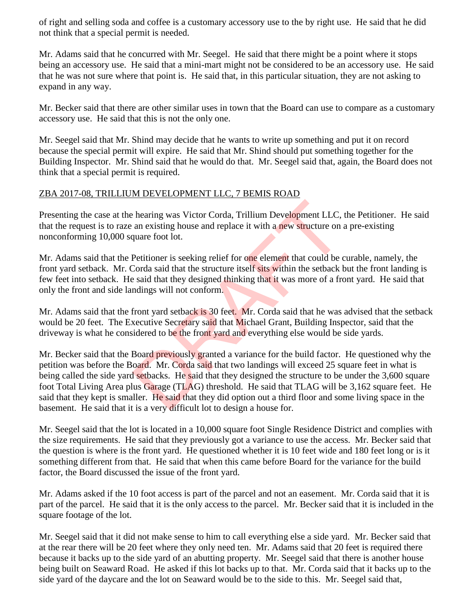of right and selling soda and coffee is a customary accessory use to the by right use. He said that he did not think that a special permit is needed.

Mr. Adams said that he concurred with Mr. Seegel. He said that there might be a point where it stops being an accessory use. He said that a mini-mart might not be considered to be an accessory use. He said that he was not sure where that point is. He said that, in this particular situation, they are not asking to expand in any way.

Mr. Becker said that there are other similar uses in town that the Board can use to compare as a customary accessory use. He said that this is not the only one.

Mr. Seegel said that Mr. Shind may decide that he wants to write up something and put it on record because the special permit will expire. He said that Mr. Shind should put something together for the Building Inspector. Mr. Shind said that he would do that. Mr. Seegel said that, again, the Board does not think that a special permit is required.

# ZBA 2017-08, TRILLIUM DEVELOPMENT LLC, 7 BEMIS ROAD

Presenting the case at the hearing was Victor Corda, Trillium Development LLC, the Petitioner. He said that the request is to raze an existing house and replace it with a new structure on a pre-existing nonconforming 10,000 square foot lot.

Mr. Adams said that the Petitioner is seeking relief for one element that could be curable, namely, the front yard setback. Mr. Corda said that the structure itself sits within the setback but the front landing is few feet into setback. He said that they designed thinking that it was more of a front yard. He said that only the front and side landings will not conform.

Mr. Adams said that the front yard setback is 30 feet. Mr. Corda said that he was advised that the setback would be 20 feet. The Executive Secretary said that Michael Grant, Building Inspector, said that the driveway is what he considered to be the front yard and everything else would be side yards.

Mr. Becker said that the Board previously granted a variance for the build factor. He questioned why the petition was before the Board. Mr. Corda said that two landings will exceed 25 square feet in what is being called the side yard setbacks. He said that they designed the structure to be under the 3,600 square foot Total Living Area plus Garage (TLAG) threshold. He said that TLAG will be 3,162 square feet. He said that they kept is smaller. He said that they did option out a third floor and some living space in the basement. He said that it is a very difficult lot to design a house for. the air and replace it with a new structure on<br>an existing house and replace it with a new structure on<br>quare foot lot.<br>Petitioner is seeking relief for one element that could be c<br>orda said that the structure itself sits

Mr. Seegel said that the lot is located in a 10,000 square foot Single Residence District and complies with the size requirements. He said that they previously got a variance to use the access. Mr. Becker said that the question is where is the front yard. He questioned whether it is 10 feet wide and 180 feet long or is it something different from that. He said that when this came before Board for the variance for the build factor, the Board discussed the issue of the front yard.

Mr. Adams asked if the 10 foot access is part of the parcel and not an easement. Mr. Corda said that it is part of the parcel. He said that it is the only access to the parcel. Mr. Becker said that it is included in the square footage of the lot.

Mr. Seegel said that it did not make sense to him to call everything else a side yard. Mr. Becker said that at the rear there will be 20 feet where they only need ten. Mr. Adams said that 20 feet is required there because it backs up to the side yard of an abutting property. Mr. Seegel said that there is another house being built on Seaward Road. He asked if this lot backs up to that. Mr. Corda said that it backs up to the side yard of the daycare and the lot on Seaward would be to the side to this. Mr. Seegel said that,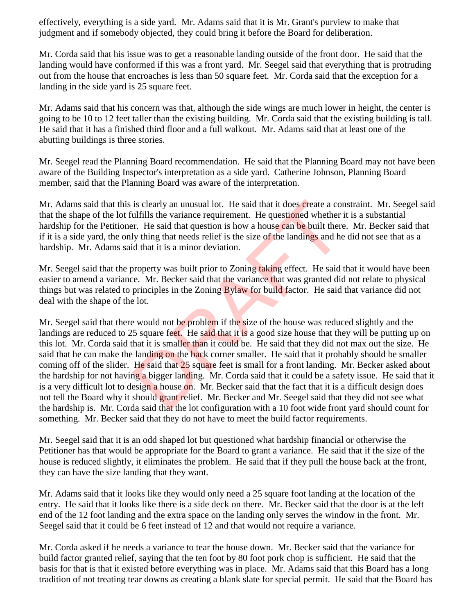effectively, everything is a side yard. Mr. Adams said that it is Mr. Grant's purview to make that judgment and if somebody objected, they could bring it before the Board for deliberation.

Mr. Corda said that his issue was to get a reasonable landing outside of the front door. He said that the landing would have conformed if this was a front yard. Mr. Seegel said that everything that is protruding out from the house that encroaches is less than 50 square feet. Mr. Corda said that the exception for a landing in the side yard is 25 square feet.

Mr. Adams said that his concern was that, although the side wings are much lower in height, the center is going to be 10 to 12 feet taller than the existing building. Mr. Corda said that the existing building is tall. He said that it has a finished third floor and a full walkout. Mr. Adams said that at least one of the abutting buildings is three stories.

Mr. Seegel read the Planning Board recommendation. He said that the Planning Board may not have been aware of the Building Inspector's interpretation as a side yard. Catherine Johnson, Planning Board member, said that the Planning Board was aware of the interpretation.

Mr. Adams said that this is clearly an unusual lot. He said that it does create a constraint. Mr. Seegel said that the shape of the lot fulfills the variance requirement. He questioned whether it is a substantial hardship for the Petitioner. He said that question is how a house can be built there. Mr. Becker said that if it is a side yard, the only thing that needs relief is the size of the landings and he did not see that as a hardship. Mr. Adams said that it is a minor deviation.

Mr. Seegel said that the property was built prior to Zoning taking effect. He said that it would have been easier to amend a variance. Mr. Becker said that the variance that was granted did not relate to physical things but was related to principles in the Zoning **Bylaw** for build factor. He said that variance did not deal with the shape of the lot.

Mr. Seegel said that there would not be problem if the size of the house was reduced slightly and the landings are reduced to 25 square feet. He said that it is a good size house that they will be putting up on this lot. Mr. Corda said that it is smaller than it could be. He said that they did not max out the size. He said that he can make the landing on the back corner smaller. He said that it probably should be smaller coming off of the slider. He said that 25 square feet is small for a front landing. Mr. Becker asked about the hardship for not having a bigger landing. Mr. Corda said that it could be a safety issue. He said that it is a very difficult lot to design a house on. Mr. Becker said that the fact that it is a difficult design does not tell the Board why it should grant relief. Mr. Becker and Mr. Seegel said that they did not see what the hardship is. Mr. Corda said that the lot configuration with a 10 foot wide front yard should count for something. Mr. Becker said that they do not have to meet the build factor requirements. is clearly an unusual lot. He said that it does create a coulfills the variance requirement. He questioned whether <br>r. He said that question is how a house can be built there<br>ly thing that needs relief is the size of the l

Mr. Seegel said that it is an odd shaped lot but questioned what hardship financial or otherwise the Petitioner has that would be appropriate for the Board to grant a variance. He said that if the size of the house is reduced slightly, it eliminates the problem. He said that if they pull the house back at the front, they can have the size landing that they want.

Mr. Adams said that it looks like they would only need a 25 square foot landing at the location of the entry. He said that it looks like there is a side deck on there. Mr. Becker said that the door is at the left end of the 12 foot landing and the extra space on the landing only serves the window in the front. Mr. Seegel said that it could be 6 feet instead of 12 and that would not require a variance.

Mr. Corda asked if he needs a variance to tear the house down. Mr. Becker said that the variance for build factor granted relief, saying that the ten foot by 80 foot pork chop is sufficient. He said that the basis for that is that it existed before everything was in place. Mr. Adams said that this Board has a long tradition of not treating tear downs as creating a blank slate for special permit. He said that the Board has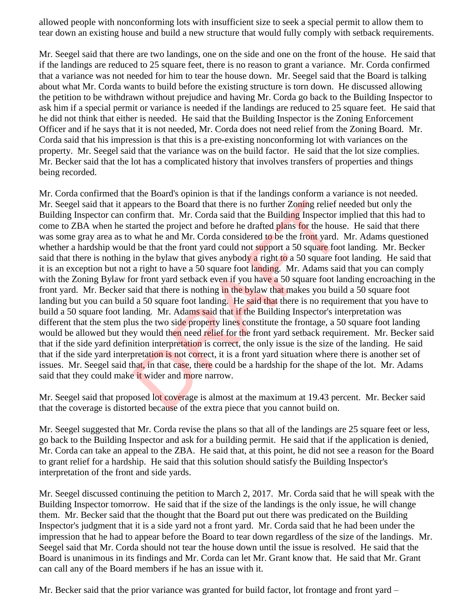allowed people with nonconforming lots with insufficient size to seek a special permit to allow them to tear down an existing house and build a new structure that would fully comply with setback requirements.

Mr. Seegel said that there are two landings, one on the side and one on the front of the house. He said that if the landings are reduced to 25 square feet, there is no reason to grant a variance. Mr. Corda confirmed that a variance was not needed for him to tear the house down. Mr. Seegel said that the Board is talking about what Mr. Corda wants to build before the existing structure is torn down. He discussed allowing the petition to be withdrawn without prejudice and having Mr. Corda go back to the Building Inspector to ask him if a special permit or variance is needed if the landings are reduced to 25 square feet. He said that he did not think that either is needed. He said that the Building Inspector is the Zoning Enforcement Officer and if he says that it is not needed, Mr. Corda does not need relief from the Zoning Board. Mr. Corda said that his impression is that this is a pre-existing nonconforming lot with variances on the property. Mr. Seegel said that the variance was on the build factor. He said that the lot size complies. Mr. Becker said that the lot has a complicated history that involves transfers of properties and things being recorded.

Mr. Corda confirmed that the Board's opinion is that if the landings conform a variance is not needed. Mr. Seegel said that it appears to the Board that there is no further Zoning relief needed but only the Building Inspector can confirm that. Mr. Corda said that the Building Inspector implied that this had to come to ZBA when he started the project and before he drafted plans for the house. He said that there was some gray area as to what he and Mr. Corda considered to be the front yard. Mr. Adams questioned whether a hardship would be that the front yard could not support a 50 square foot landing. Mr. Becker said that there is nothing in the bylaw that gives anybody a right to a 50 square foot landing. He said that it is an exception but not a right to have a 50 square foot landing. Mr. Adams said that you can comply with the Zoning Bylaw for front yard setback even if you have a 50 square foot landing encroaching in the front yard. Mr. Becker said that there is nothing in the bylaw that makes you build a 50 square foot landing but you can build a 50 square foot landing. He said that there is no requirement that you have to build a 50 square foot landing. Mr. Adams said that if the Building Inspector's interpretation was different that the stem plus the two side property lines constitute the frontage, a 50 square foot landing would be allowed but they would then need relief for the front yard setback requirement. Mr. Becker said that if the side yard definition interpretation is correct, the only issue is the size of the landing. He said that if the side yard interpretation is not correct, it is a front yard situation where there is another set of issues. Mr. Seegel said that, in that case, there could be a hardship for the shape of the lot. Mr. Adams said that they could make it wider and more narrow. pears to the Board that there is no further Zoning relief n<br>pnfirm that. Mr. Corda said that the Building Inspector in<br>arted the project and before he drafted plans for the house<br>what he and Mr. Corda considered to be the

Mr. Seegel said that proposed lot coverage is almost at the maximum at 19.43 percent. Mr. Becker said that the coverage is distorted because of the extra piece that you cannot build on.

Mr. Seegel suggested that Mr. Corda revise the plans so that all of the landings are 25 square feet or less, go back to the Building Inspector and ask for a building permit. He said that if the application is denied, Mr. Corda can take an appeal to the ZBA. He said that, at this point, he did not see a reason for the Board to grant relief for a hardship. He said that this solution should satisfy the Building Inspector's interpretation of the front and side yards.

Mr. Seegel discussed continuing the petition to March 2, 2017. Mr. Corda said that he will speak with the Building Inspector tomorrow. He said that if the size of the landings is the only issue, he will change them. Mr. Becker said that the thought that the Board put out there was predicated on the Building Inspector's judgment that it is a side yard not a front yard. Mr. Corda said that he had been under the impression that he had to appear before the Board to tear down regardless of the size of the landings. Mr. Seegel said that Mr. Corda should not tear the house down until the issue is resolved. He said that the Board is unanimous in its findings and Mr. Corda can let Mr. Grant know that. He said that Mr. Grant can call any of the Board members if he has an issue with it.

Mr. Becker said that the prior variance was granted for build factor, lot frontage and front yard –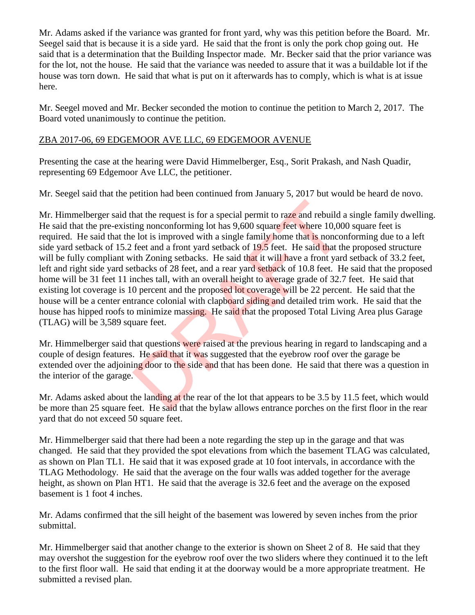Mr. Adams asked if the variance was granted for front yard, why was this petition before the Board. Mr. Seegel said that is because it is a side yard. He said that the front is only the pork chop going out. He said that is a determination that the Building Inspector made. Mr. Becker said that the prior variance was for the lot, not the house. He said that the variance was needed to assure that it was a buildable lot if the house was torn down. He said that what is put on it afterwards has to comply, which is what is at issue here.

Mr. Seegel moved and Mr. Becker seconded the motion to continue the petition to March 2, 2017. The Board voted unanimously to continue the petition.

# ZBA 2017-06, 69 EDGEMOOR AVE LLC, 69 EDGEMOOR AVENUE

Presenting the case at the hearing were David Himmelberger, Esq., Sorit Prakash, and Nash Quadir, representing 69 Edgemoor Ave LLC, the petitioner.

Mr. Seegel said that the petition had been continued from January 5, 2017 but would be heard de novo.

Mr. Himmelberger said that the request is for a special permit to raze and rebuild a single family dwelling. He said that the pre-existing nonconforming lot has 9,600 square feet where 10,000 square feet is required. He said that the lot is improved with a single family home that is nonconforming due to a left side yard setback of 15.2 feet and a front yard setback of 19.5 feet. He said that the proposed structure will be fully compliant with Zoning setbacks. He said that it will have a front yard setback of 33.2 feet, left and right side yard setbacks of 28 feet, and a rear yard setback of 10.8 feet. He said that the proposed home will be 31 feet 11 inches tall, with an overall height to average grade of 32.7 feet. He said that existing lot coverage is 10 percent and the proposed lot coverage will be 22 percent. He said that the house will be a center entrance colonial with clapboard siding and detailed trim work. He said that the house has hipped roofs to minimize massing. He said that the proposed Total Living Area plus Garage (TLAG) will be 3,589 square feet. that the request is for a special permit to raze and rebuild<br>ing nonconforming lot has 9,600 square feet where 10,00<br>e lot is improved with a single family home that is nonco<br>feet and a front yard setback of 19.5 feet. He

Mr. Himmelberger said that questions were raised at the previous hearing in regard to landscaping and a couple of design features. He said that it was suggested that the eyebrow roof over the garage be extended over the adjoining door to the side and that has been done. He said that there was a question in the interior of the garage.

Mr. Adams asked about the landing at the rear of the lot that appears to be 3.5 by 11.5 feet, which would be more than 25 square feet. He said that the bylaw allows entrance porches on the first floor in the rear yard that do not exceed 50 square feet.

Mr. Himmelberger said that there had been a note regarding the step up in the garage and that was changed. He said that they provided the spot elevations from which the basement TLAG was calculated, as shown on Plan TL1. He said that it was exposed grade at 10 foot intervals, in accordance with the TLAG Methodology. He said that the average on the four walls was added together for the average height, as shown on Plan HT1. He said that the average is 32.6 feet and the average on the exposed basement is 1 foot 4 inches.

Mr. Adams confirmed that the sill height of the basement was lowered by seven inches from the prior submittal.

Mr. Himmelberger said that another change to the exterior is shown on Sheet 2 of 8. He said that they may overshot the suggestion for the eyebrow roof over the two sliders where they continued it to the left to the first floor wall. He said that ending it at the doorway would be a more appropriate treatment. He submitted a revised plan.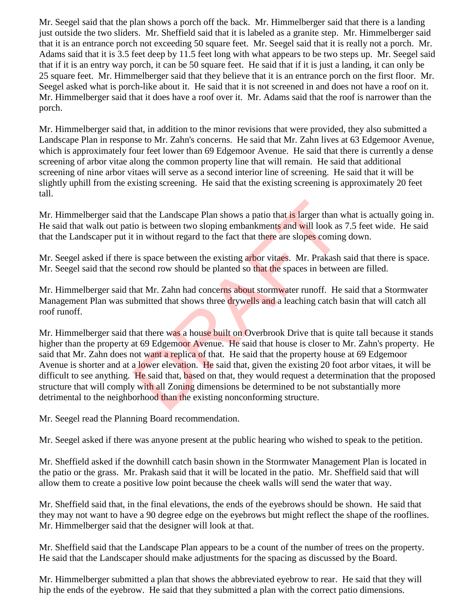Mr. Seegel said that the plan shows a porch off the back. Mr. Himmelberger said that there is a landing just outside the two sliders. Mr. Sheffield said that it is labeled as a granite step. Mr. Himmelberger said that it is an entrance porch not exceeding 50 square feet. Mr. Seegel said that it is really not a porch. Mr. Adams said that it is 3.5 feet deep by 11.5 feet long with what appears to be two steps up. Mr. Seegel said that if it is an entry way porch, it can be 50 square feet. He said that if it is just a landing, it can only be 25 square feet. Mr. Himmelberger said that they believe that it is an entrance porch on the first floor. Mr. Seegel asked what is porch-like about it. He said that it is not screened in and does not have a roof on it. Mr. Himmelberger said that it does have a roof over it. Mr. Adams said that the roof is narrower than the porch.

Mr. Himmelberger said that, in addition to the minor revisions that were provided, they also submitted a Landscape Plan in response to Mr. Zahn's concerns. He said that Mr. Zahn lives at 63 Edgemoor Avenue, which is approximately four feet lower than 69 Edgemoor Avenue. He said that there is currently a dense screening of arbor vitae along the common property line that will remain. He said that additional screening of nine arbor vitaes will serve as a second interior line of screening. He said that it will be slightly uphill from the existing screening. He said that the existing screening is approximately 20 feet tall.

Mr. Himmelberger said that the Landscape Plan shows a patio that is larger than what is actually going in. He said that walk out patio is between two sloping embankments and will look as 7.5 feet wide. He said that the Landscaper put it in without regard to the fact that there are slopes coming down.

Mr. Seegel asked if there is space between the existing arbor vitaes. Mr. Prakash said that there is space. Mr. Seegel said that the second row should be planted so that the spaces in between are filled.

Mr. Himmelberger said that Mr. Zahn had concerns about stormwater runoff. He said that a Stormwater Management Plan was submitted that shows three drywells and a leaching catch basin that will catch all roof runoff.

Mr. Himmelberger said that there was a house built on Overbrook Drive that is quite tall because it stands higher than the property at 69 Edgemoor Avenue. He said that house is closer to Mr. Zahn's property. He said that Mr. Zahn does not want a replica of that. He said that the property house at 69 Edgemoor Avenue is shorter and at a lower elevation. He said that, given the existing 20 foot arbor vitaes, it will be difficult to see anything. He said that, based on that, they would request a determination that the proposed structure that will comply with all Zoning dimensions be determined to be not substantially more detrimental to the neighborhood than the existing nonconforming structure. hat the Landscape Plan shows a patio that is larger than v<br>io is between two sloping embankments and will look as<br>in without regard to the fact that there are slopes coming<br>is space between the existing arbor vitaes. Mr. P

Mr. Seegel read the Planning Board recommendation.

Mr. Seegel asked if there was anyone present at the public hearing who wished to speak to the petition.

Mr. Sheffield asked if the downhill catch basin shown in the Stormwater Management Plan is located in the patio or the grass. Mr. Prakash said that it will be located in the patio. Mr. Sheffield said that will allow them to create a positive low point because the cheek walls will send the water that way.

Mr. Sheffield said that, in the final elevations, the ends of the eyebrows should be shown. He said that they may not want to have a 90 degree edge on the eyebrows but might reflect the shape of the rooflines. Mr. Himmelberger said that the designer will look at that.

Mr. Sheffield said that the Landscape Plan appears to be a count of the number of trees on the property. He said that the Landscaper should make adjustments for the spacing as discussed by the Board.

Mr. Himmelberger submitted a plan that shows the abbreviated eyebrow to rear. He said that they will hip the ends of the eyebrow. He said that they submitted a plan with the correct patio dimensions.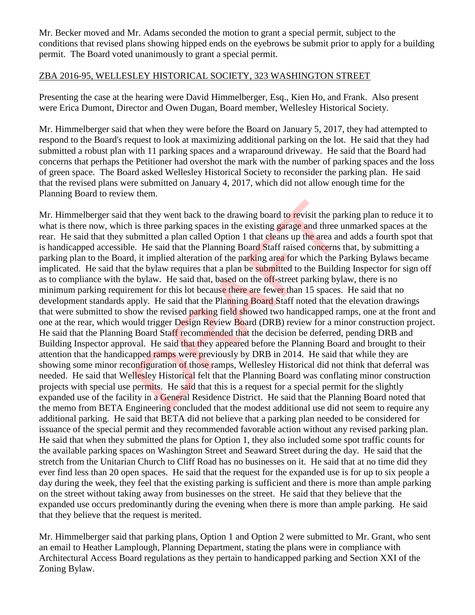Mr. Becker moved and Mr. Adams seconded the motion to grant a special permit, subject to the conditions that revised plans showing hipped ends on the eyebrows be submit prior to apply for a building permit. The Board voted unanimously to grant a special permit.

# ZBA 2016-95, WELLESLEY HISTORICAL SOCIETY, 323 WASHINGTON STREET

Presenting the case at the hearing were David Himmelberger, Esq., Kien Ho, and Frank. Also present were Erica Dumont, Director and Owen Dugan, Board member, Wellesley Historical Society.

Mr. Himmelberger said that when they were before the Board on January 5, 2017, they had attempted to respond to the Board's request to look at maximizing additional parking on the lot. He said that they had submitted a robust plan with 11 parking spaces and a wraparound driveway. He said that the Board had concerns that perhaps the Petitioner had overshot the mark with the number of parking spaces and the loss of green space. The Board asked Wellesley Historical Society to reconsider the parking plan. He said that the revised plans were submitted on January 4, 2017, which did not allow enough time for the Planning Board to review them.

Mr. Himmelberger said that they went back to the drawing board to revisit the parking plan to reduce it to what is there now, which is three parking spaces in the existing garage and three unmarked spaces at the rear. He said that they submitted a plan called Option 1 that cleans up the area and adds a fourth spot that is handicapped accessible. He said that the Planning Board Staff raised concerns that, by submitting a parking plan to the Board, it implied alteration of the parking area for which the Parking Bylaws became implicated. He said that the bylaw requires that a plan be submitted to the Building Inspector for sign off as to compliance with the bylaw. He said that, based on the off-street parking bylaw, there is no minimum parking requirement for this lot because there are fewer than 15 spaces. He said that no development standards apply. He said that the Planning Board Staff noted that the elevation drawings that were submitted to show the revised parking field showed two handicapped ramps, one at the front and one at the rear, which would trigger Design Review Board (DRB) review for a minor construction project. He said that the Planning Board Staff recommended that the decision be deferred, pending DRB and Building Inspector approval. He said that they appeared before the Planning Board and brought to their attention that the handicapped ramps were previously by DRB in 2014. He said that while they are showing some minor reconfiguration of those ramps, Wellesley Historical did not think that deferral was needed. He said that Wellesley Historical felt that the Planning Board was conflating minor construction projects with special use permits. He said that this is a request for a special permit for the slightly expanded use of the facility in a General Residence District. He said that the Planning Board noted that the memo from BETA Engineering concluded that the modest additional use did not seem to require any additional parking. He said that BETA did not believe that a parking plan needed to be considered for issuance of the special permit and they recommended favorable action without any revised parking plan. He said that when they submitted the plans for Option 1, they also included some spot traffic counts for the available parking spaces on Washington Street and Seaward Street during the day. He said that the stretch from the Unitarian Church to Cliff Road has no businesses on it. He said that at no time did they ever find less than 20 open spaces. He said that the request for the expanded use is for up to six people a day during the week, they feel that the existing parking is sufficient and there is more than ample parking on the street without taking away from businesses on the street. He said that they believe that the expanded use occurs predominantly during the evening when there is more than ample parking. He said that they believe that the request is merited. hat they went back to the drawing board to revisit the par<br>is three parking spaces in the existing garage and three u<br>bhmitted a plan called Option 1 that cleans up the area an<br>e. He said that the Planning Board Staff rais

Mr. Himmelberger said that parking plans, Option 1 and Option 2 were submitted to Mr. Grant, who sent an email to Heather Lamplough, Planning Department, stating the plans were in compliance with Architectural Access Board regulations as they pertain to handicapped parking and Section XXI of the Zoning Bylaw.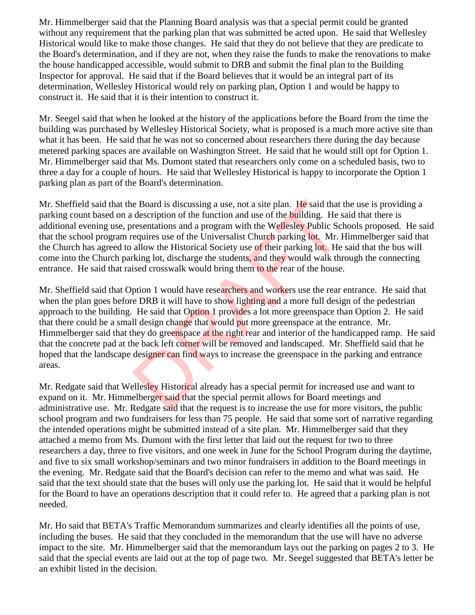Mr. Himmelberger said that the Planning Board analysis was that a special permit could be granted without any requirement that the parking plan that was submitted be acted upon. He said that Wellesley Historical would like to make those changes. He said that they do not believe that they are predicate to the Board's determination, and if they are not, when they raise the funds to make the renovations to make the house handicapped accessible, would submit to DRB and submit the final plan to the Building Inspector for approval. He said that if the Board believes that it would be an integral part of its determination, Wellesley Historical would rely on parking plan, Option 1 and would be happy to construct it. He said that it is their intention to construct it.

Mr. Seegel said that when he looked at the history of the applications before the Board from the time the building was purchased by Wellesley Historical Society, what is proposed is a much more active site than what it has been. He said that he was not so concerned about researchers there during the day because metered parking spaces are available on Washington Street. He said that he would still opt for Option 1. Mr. Himmelberger said that Ms. Dumont stated that researchers only come on a scheduled basis, two to three a day for a couple of hours. He said that Wellesley Historical is happy to incorporate the Option 1 parking plan as part of the Board's determination.

Mr. Sheffield said that the Board is discussing a use, not a site plan. He said that the use is providing a parking count based on a description of the function and use of the building. He said that there is additional evening use, presentations and a program with the Wellesley Public Schools proposed. He said that the school program requires use of the Universalist Church parking lot. Mr. Himmelberger said that the Church has agreed to allow the Historical Society use of their parking lot. He said that the bus will come into the Church parking lot, discharge the students, and they would walk through the connecting entrance. He said that raised crosswalk would bring them to the rear of the house.

Mr. Sheffield said that Option 1 would have researchers and workers use the rear entrance. He said that when the plan goes before DRB it will have to show lighting and a more full design of the pedestrian approach to the building. He said that Option 1 provides a lot more greenspace than Option 2. He said that there could be a small design change that would put more greenspace at the entrance. Mr. Himmelberger said that they do greenspace at the right rear and interior of the handicapped ramp. He said that the concrete pad at the back left corner will be removed and landscaped. Mr. Sheffield said that he hoped that the landscape designer can find ways to increase the greenspace in the parking and entrance areas. e Board is discussing a use, not a site plan. He said that<br>description of the function and use of the building. He s<br>resentations and a program with the Wellesley Public Scle<br>equires use of the Universalist Church parking

Mr. Redgate said that Wellesley Historical already has a special permit for increased use and want to expand on it. Mr. Himmelberger said that the special permit allows for Board meetings and administrative use. Mr. Redgate said that the request is to increase the use for more visitors, the public school program and two fundraisers for less than 75 people. He said that some sort of narrative regarding the intended operations might be submitted instead of a site plan. Mr. Himmelberger said that they attached a memo from Ms. Dumont with the first letter that laid out the request for two to three researchers a day, three to five visitors, and one week in June for the School Program during the daytime, and five to six small workshop/seminars and two minor fundraisers in addition to the Board meetings in the evening. Mr. Redgate said that the Board's decision can refer to the memo and what was said. He said that the text should state that the buses will only use the parking lot. He said that it would be helpful for the Board to have an operations description that it could refer to. He agreed that a parking plan is not needed.

Mr. Ho said that BETA's Traffic Memorandum summarizes and clearly identifies all the points of use, including the buses. He said that they concluded in the memorandum that the use will have no adverse impact to the site. Mr. Himmelberger said that the memorandum lays out the parking on pages 2 to 3. He said that the special events are laid out at the top of page two. Mr. Seegel suggested that BETA's letter be an exhibit listed in the decision.